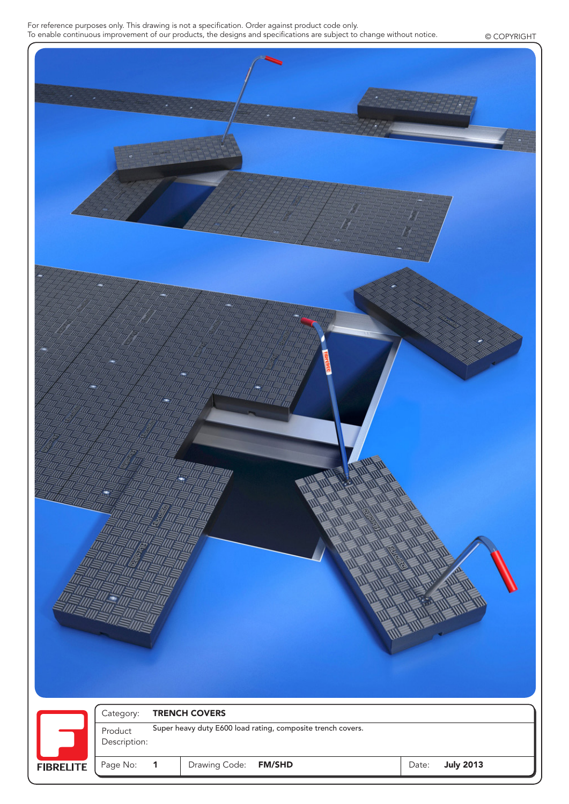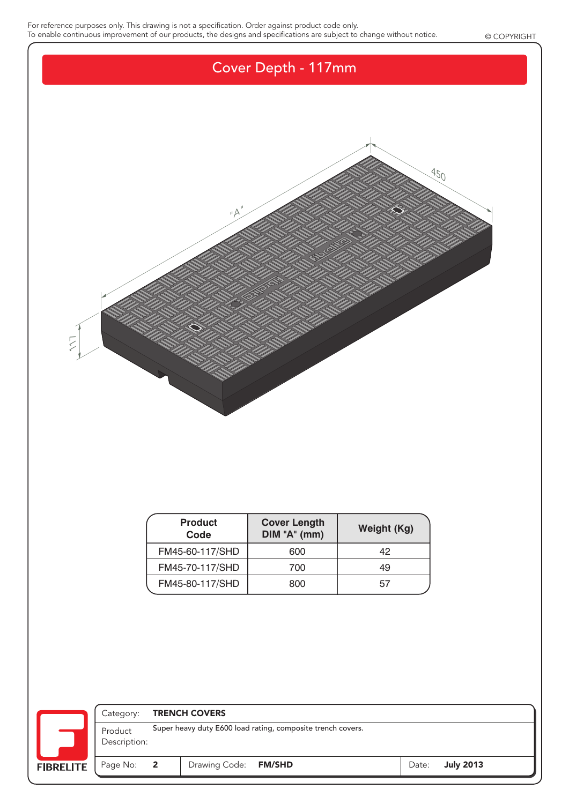

| <b>Product</b><br>Code | <b>Cover Length</b><br>DIM "A" (mm) | Weight (Kg) |  |  |
|------------------------|-------------------------------------|-------------|--|--|
| FM45-60-117/SHD        | 600                                 | 42          |  |  |
| FM45-70-117/SHD        | 700                                 | 49          |  |  |
| FM45-80-117/SHD        | 800                                 | 57          |  |  |

|                  | Category:                                                                              | <b>TRENCH COVERS</b> |                      |  |       |  |                  |  |
|------------------|----------------------------------------------------------------------------------------|----------------------|----------------------|--|-------|--|------------------|--|
|                  | Super heavy duty E600 load rating, composite trench covers.<br>Product<br>Description: |                      |                      |  |       |  |                  |  |
| <b>FIBRELITE</b> | Page No: 2                                                                             |                      | Drawing Code: FM/SHD |  | Date: |  | <b>July 2013</b> |  |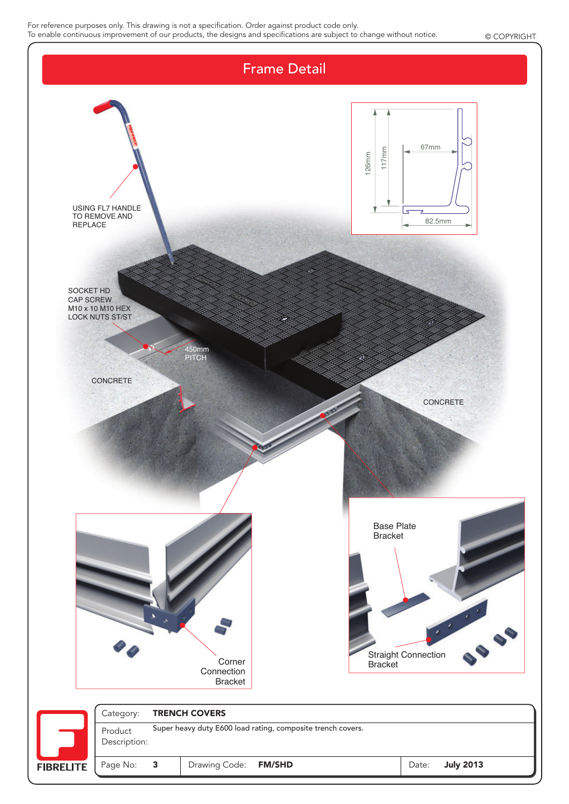